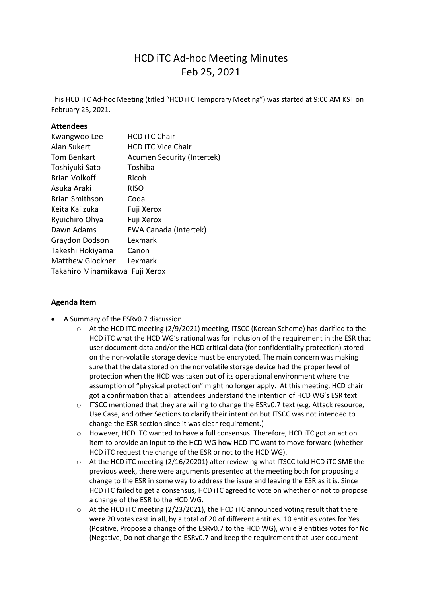# HCD iTC Ad-hoc Meeting Minutes Feb 25, 2021

This HCD iTC Ad-hoc Meeting (titled "HCD iTC Temporary Meeting") was started at 9:00 AM KST on February 25, 2021.

#### **Attendees**

| Kwangwoo Lee                   | <b>HCD ITC Chair</b>              |
|--------------------------------|-----------------------------------|
| Alan Sukert                    | <b>HCD ITC Vice Chair</b>         |
| <b>Tom Benkart</b>             | <b>Acumen Security (Intertek)</b> |
| Toshiyuki Sato                 | Toshiba                           |
| Brian Volkoff                  | Ricoh                             |
| Asuka Araki                    | <b>RISO</b>                       |
| <b>Brian Smithson</b>          | Coda                              |
| Keita Kajizuka                 | Fuji Xerox                        |
| Ryuichiro Ohya                 | Fuji Xerox                        |
| Dawn Adams                     | <b>EWA Canada (Intertek)</b>      |
| Graydon Dodson                 | Lexmark                           |
| Takeshi Hokiyama               | Canon                             |
| <b>Matthew Glockner</b>        | Lexmark                           |
| Takahiro Minamikawa Fuji Xerox |                                   |
|                                |                                   |

#### **Agenda Item**

- A Summary of the ESRv0.7 discussion
	- o At the HCD iTC meeting (2/9/2021) meeting, ITSCC (Korean Scheme) has clarified to the HCD iTC what the HCD WG's rational was for inclusion of the requirement in the ESR that user document data and/or the HCD critical data (for confidentiality protection) stored on the non-volatile storage device must be encrypted. The main concern was making sure that the data stored on the nonvolatile storage device had the proper level of protection when the HCD was taken out of its operational environment where the assumption of "physical protection" might no longer apply. At this meeting, HCD chair got a confirmation that all attendees understand the intention of HCD WG's ESR text.
	- $\circ$  ITSCC mentioned that they are willing to change the ESRv0.7 text (e.g. Attack resource, Use Case, and other Sections to clarify their intention but ITSCC was not intended to change the ESR section since it was clear requirement.)
	- o However, HCD iTC wanted to have a full consensus. Therefore, HCD iTC got an action item to provide an input to the HCD WG how HCD iTC want to move forward (whether HCD iTC request the change of the ESR or not to the HCD WG).
	- $\circ$  At the HCD iTC meeting (2/16/20201) after reviewing what ITSCC told HCD iTC SME the previous week, there were arguments presented at the meeting both for proposing a change to the ESR in some way to address the issue and leaving the ESR as it is. Since HCD iTC failed to get a consensus, HCD iTC agreed to vote on whether or not to propose a change of the ESR to the HCD WG.
	- $\circ$  At the HCD iTC meeting (2/23/2021), the HCD iTC announced voting result that there were 20 votes cast in all, by a total of 20 of different entities. 10 entities votes for Yes (Positive, Propose a change of the ESRv0.7 to the HCD WG), while 9 entities votes for No (Negative, Do not change the ESRv0.7 and keep the requirement that user document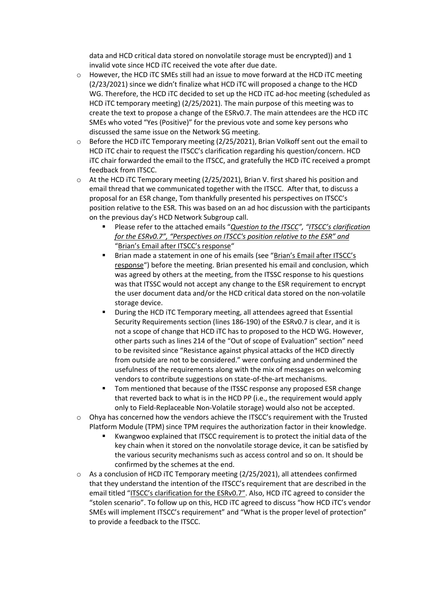data and HCD critical data stored on nonvolatile storage must be encrypted)) and 1 invalid vote since HCD iTC received the vote after due date.

- $\circ$  However, the HCD iTC SMEs still had an issue to move forward at the HCD iTC meeting (2/23/2021) since we didn't finalize what HCD iTC will proposed a change to the HCD WG. Therefore, the HCD iTC decided to set up the HCD iTC ad-hoc meeting (scheduled as HCD iTC temporary meeting) (2/25/2021). The main purpose of this meeting was to create the text to propose a change of the ESRv0.7. The main attendees are the HCD iTC SMEs who voted "Yes (Positive)" for the previous vote and some key persons who discussed the same issue on the Network SG meeting.
- $\circ$  Before the HCD iTC Temporary meeting (2/25/2021), Brian Volkoff sent out the email to HCD iTC chair to request the ITSCC's clarification regarding his question/concern. HCD iTC chair forwarded the email to the ITSCC, and gratefully the HCD iTC received a prompt feedback from ITSCC.
- o At the HCD iTC Temporary meeting (2/25/2021), Brian V. first shared his position and email thread that we communicated together with the ITSCC. After that, to discuss a proposal for an ESR change, Tom thankfully presented his perspectives on ITSCC's position relative to the ESR. This was based on an ad hoc discussion with the participants on the previous day's HCD Network Subgroup call.
	- Please refer to the attached emails "*Question to the ITSCC", "ITSCC's clarification for the ESRv0.7", "Perspectives on ITSCC's position relative to the ESR" and*  "Brian's Email after ITSCC's response"
	- Brian made a statement in one of his emails (see "Brian's Email after ITSCC's response") before the meeting. Brian presented his email and conclusion, which was agreed by others at the meeting, from the ITSSC response to his questions was that ITSSC would not accept any change to the ESR requirement to encrypt the user document data and/or the HCD critical data stored on the non-volatile storage device.
	- During the HCD iTC Temporary meeting, all attendees agreed that Essential Security Requirements section (lines 186-190) of the ESRv0.7 is clear, and it is not a scope of change that HCD iTC has to proposed to the HCD WG. However, other parts such as lines 214 of the "Out of scope of Evaluation" section" need to be revisited since "Resistance against physical attacks of the HCD directly from outside are not to be considered." were confusing and undermined the usefulness of the requirements along with the mix of messages on welcoming vendors to contribute suggestions on state-of-the-art mechanisms.
	- Tom mentioned that because of the ITSSC response any proposed ESR change that reverted back to what is in the HCD PP (i.e., the requirement would apply only to Field-Replaceable Non-Volatile storage) would also not be accepted.
- $\circ$  Ohya has concerned how the vendors achieve the ITSCC's requirement with the Trusted Platform Module (TPM) since TPM requires the authorization factor in their knowledge.
	- Kwangwoo explained that ITSCC requirement is to protect the initial data of the key chain when it stored on the nonvolatile storage device, it can be satisfied by the various security mechanisms such as access control and so on. It should be confirmed by the schemes at the end.
- $\circ$  As a conclusion of HCD iTC Temporary meeting (2/25/2021), all attendees confirmed that they understand the intention of the ITSCC's requirement that are described in the email titled "ITSCC's clarification for the ESRv0.7". Also, HCD iTC agreed to consider the "stolen scenario". To follow up on this, HCD iTC agreed to discuss "how HCD iTC's vendor SMEs will implement ITSCC's requirement" and "What is the proper level of protection" to provide a feedback to the ITSCC.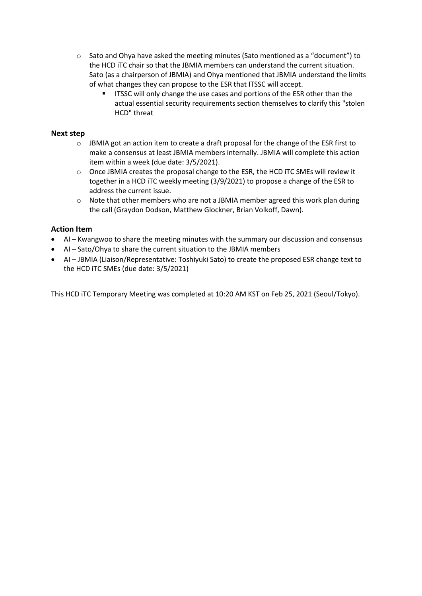- $\circ$  Sato and Ohya have asked the meeting minutes (Sato mentioned as a "document") to the HCD iTC chair so that the JBMIA members can understand the current situation. Sato (as a chairperson of JBMIA) and Ohya mentioned that JBMIA understand the limits of what changes they can propose to the ESR that ITSSC will accept.
	- ITSSC will only change the use cases and portions of the ESR other than the actual essential security requirements section themselves to clarify this "stolen HCD" threat

#### **Next step**

- $\circ$  JBMIA got an action item to create a draft proposal for the change of the ESR first to make a consensus at least JBMIA members internally. JBMIA will complete this action item within a week (due date: 3/5/2021).
- o Once JBMIA creates the proposal change to the ESR, the HCD iTC SMEs will review it together in a HCD iTC weekly meeting (3/9/2021) to propose a change of the ESR to address the current issue.
- $\circ$  Note that other members who are not a JBMIA member agreed this work plan during the call (Graydon Dodson, Matthew Glockner, Brian Volkoff, Dawn).

#### **Action Item**

- AI Kwangwoo to share the meeting minutes with the summary our discussion and consensus
- AI Sato/Ohya to share the current situation to the JBMIA members
- AI JBMIA (Liaison/Representative: Toshiyuki Sato) to create the proposed ESR change text to the HCD iTC SMEs (due date: 3/5/2021)

This HCD iTC Temporary Meeting was completed at 10:20 AM KST on Feb 25, 2021 (Seoul/Tokyo).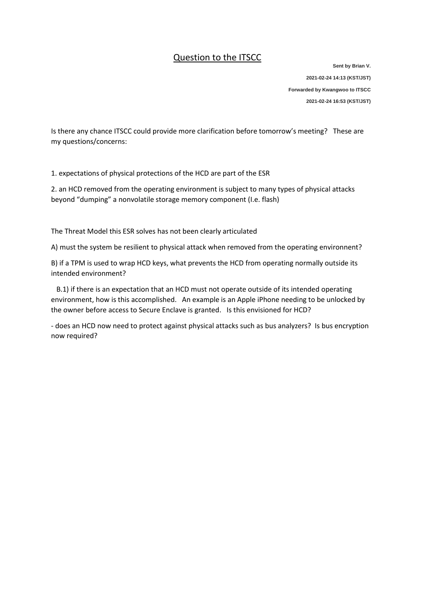### Question to the ITSCC

**Sent by Brian V. 2021-02-24 14:13 (KST/JST) Forwarded by Kwangwoo to ITSCC 2021-02-24 16:53 (KST/JST)**

Is there any chance ITSCC could provide more clarification before tomorrow's meeting? These are my questions/concerns:

1. expectations of physical protections of the HCD are part of the ESR

2. an HCD removed from the operating environment is subject to many types of physical attacks beyond "dumping" a nonvolatile storage memory component (I.e. flash)

The Threat Model this ESR solves has not been clearly articulated

A) must the system be resilient to physical attack when removed from the operating environnent?

B) if a TPM is used to wrap HCD keys, what prevents the HCD from operating normally outside its intended environment?

B.1) if there is an expectation that an HCD must not operate outside of its intended operating environment, how is this accomplished. An example is an Apple iPhone needing to be unlocked by the owner before access to Secure Enclave is granted. Is this envisioned for HCD?

- does an HCD now need to protect against physical attacks such as bus analyzers? Is bus encryption now required?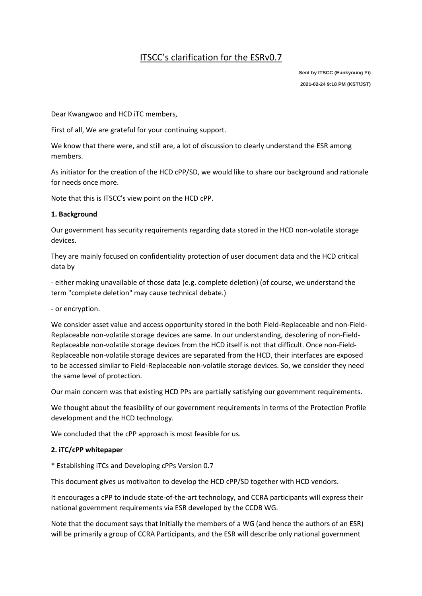### ITSCC's clarification for the ESRv0.7

**Sent by ITSCC (Eunkyoung Yi) 2021-02-24 9:18 PM (KST/JST)**

Dear Kwangwoo and HCD iTC members,

First of all, We are grateful for your continuing support.

We know that there were, and still are, a lot of discussion to clearly understand the ESR among members.

As initiator for the creation of the HCD cPP/SD, we would like to share our background and rationale for needs once more.

Note that this is ITSCC's view point on the HCD cPP.

#### **1. Background**

Our government has security requirements regarding data stored in the HCD non-volatile storage devices.

They are mainly focused on confidentiality protection of user document data and the HCD critical data by

- either making unavailable of those data (e.g. complete deletion) (of course, we understand the term "complete deletion" may cause technical debate.)

- or encryption.

We consider asset value and access opportunity stored in the both Field-Replaceable and non-Field-Replaceable non-volatile storage devices are same. In our understanding, desolering of non-Field-Replaceable non-volatile storage devices from the HCD itself is not that difficult. Once non-Field-Replaceable non-volatile storage devices are separated from the HCD, their interfaces are exposed to be accessed similar to Field-Replaceable non-volatile storage devices. So, we consider they need the same level of protection.

Our main concern was that existing HCD PPs are partially satisfying our government requirements.

We thought about the feasibility of our government requirements in terms of the Protection Profile development and the HCD technology.

We concluded that the cPP approach is most feasible for us.

#### **2. iTC/cPP whitepaper**

\* Establishing iTCs and Developing cPPs Version 0.7

This document gives us motivaiton to develop the HCD cPP/SD together with HCD vendors.

It encourages a cPP to include state-of-the-art technology, and CCRA participants will express their national government requirements via ESR developed by the CCDB WG.

Note that the document says that Initially the members of a WG (and hence the authors of an ESR) will be primarily a group of CCRA Participants, and the ESR will describe only national government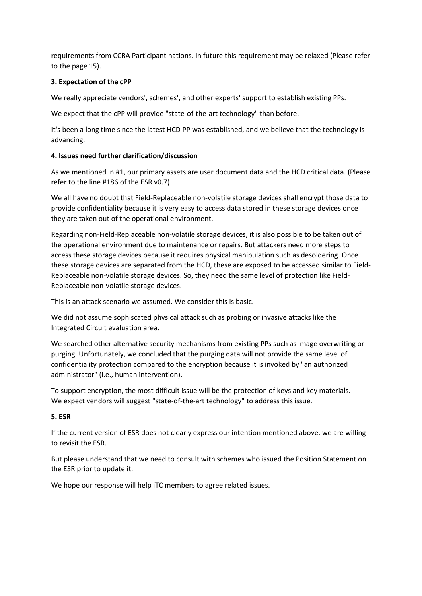requirements from CCRA Participant nations. In future this requirement may be relaxed (Please refer to the page 15).

#### **3. Expectation of the cPP**

We really appreciate vendors', schemes', and other experts' support to establish existing PPs.

We expect that the cPP will provide "state-of-the-art technology" than before.

It's been a long time since the latest HCD PP was established, and we believe that the technology is advancing.

#### **4. Issues need further clarification/discussion**

As we mentioned in #1, our primary assets are user document data and the HCD critical data. (Please refer to the line #186 of the ESR v0.7)

We all have no doubt that Field-Replaceable non-volatile storage devices shall encrypt those data to provide confidentiality because it is very easy to access data stored in these storage devices once they are taken out of the operational environment.

Regarding non-Field-Replaceable non-volatile storage devices, it is also possible to be taken out of the operational environment due to maintenance or repairs. But attackers need more steps to access these storage devices because it requires physical manipulation such as desoldering. Once these storage devices are separated from the HCD, these are exposed to be accessed similar to Field-Replaceable non-volatile storage devices. So, they need the same level of protection like Field-Replaceable non-volatile storage devices.

This is an attack scenario we assumed. We consider this is basic.

We did not assume sophiscated physical attack such as probing or invasive attacks like the Integrated Circuit evaluation area.

We searched other alternative security mechanisms from existing PPs such as image overwriting or purging. Unfortunately, we concluded that the purging data will not provide the same level of confidentiality protection compared to the encryption because it is invoked by "an authorized administrator" (i.e., human intervention).

To support encryption, the most difficult issue will be the protection of keys and key materials. We expect vendors will suggest "state-of-the-art technology" to address this issue.

#### **5. ESR**

If the current version of ESR does not clearly express our intention mentioned above, we are willing to revisit the ESR.

But please understand that we need to consult with schemes who issued the Position Statement on the ESR prior to update it.

We hope our response will help iTC members to agree related issues.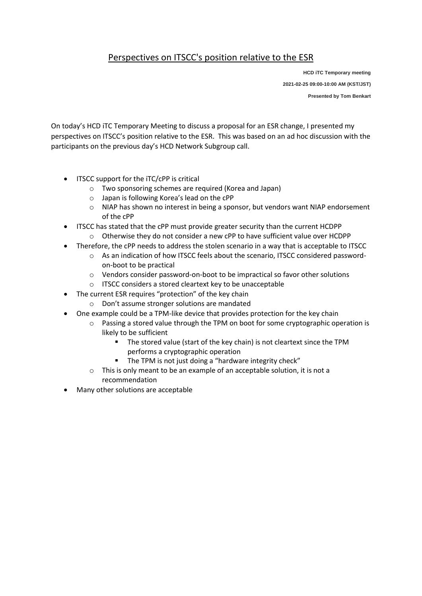### Perspectives on ITSCC's position relative to the ESR

**HCD iTC Temporary meeting 2021-02-25 09:00-10:00 AM (KST/JST) Presented by Tom Benkart** 

On today's HCD iTC Temporary Meeting to discuss a proposal for an ESR change, I presented my perspectives on ITSCC's position relative to the ESR. This was based on an ad hoc discussion with the participants on the previous day's HCD Network Subgroup call.

- ITSCC support for the iTC/cPP is critical
	- o Two sponsoring schemes are required (Korea and Japan)
	- o Japan is following Korea's lead on the cPP
	- $\circ$  NIAP has shown no interest in being a sponsor, but vendors want NIAP endorsement of the cPP
- ITSCC has stated that the cPP must provide greater security than the current HCDPP  $\circ$  Otherwise they do not consider a new cPP to have sufficient value over HCDPP
- Therefore, the cPP needs to address the stolen scenario in a way that is acceptable to ITSCC
	- o As an indication of how ITSCC feels about the scenario, ITSCC considered passwordon-boot to be practical
	- o Vendors consider password-on-boot to be impractical so favor other solutions
	- o ITSCC considers a stored cleartext key to be unacceptable
- The current ESR requires "protection" of the key chain
	- o Don't assume stronger solutions are mandated
- One example could be a TPM-like device that provides protection for the key chain
	- $\circ$  Passing a stored value through the TPM on boot for some cryptographic operation is likely to be sufficient
		- The stored value (start of the key chain) is not cleartext since the TPM performs a cryptographic operation
		- The TPM is not just doing a "hardware integrity check"
	- o This is only meant to be an example of an acceptable solution, it is not a recommendation
- Many other solutions are acceptable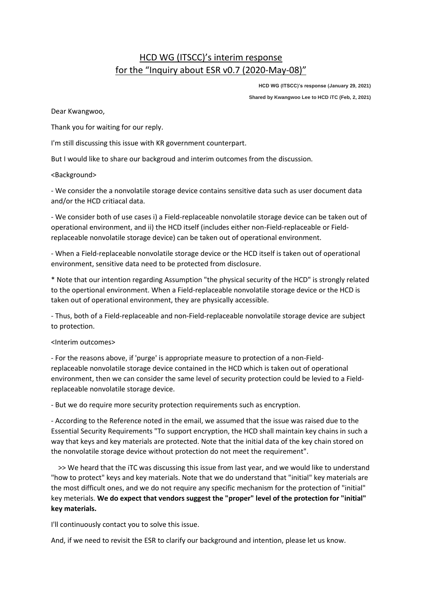### HCD WG (ITSCC)'s interim response for the "Inquiry about ESR v0.7 (2020-May-08)"

**HCD WG (ITSCC)'s response (January 29, 2021)**

**Shared by Kwangwoo Lee to HCD iTC (Feb, 2, 2021)**

Dear Kwangwoo,

Thank you for waiting for our reply.

I'm still discussing this issue with KR government counterpart.

But I would like to share our backgroud and interim outcomes from the discussion.

<Background>

- We consider the a nonvolatile storage device contains sensitive data such as user document data and/or the HCD critiacal data.

- We consider both of use cases i) a Field-replaceable nonvolatile storage device can be taken out of operational environment, and ii) the HCD itself (includes either non-Field-replaceable or Fieldreplaceable nonvolatile storage device) can be taken out of operational environment.

- When a Field-replaceable nonvolatile storage device or the HCD itself is taken out of operational environment, sensitive data need to be protected from disclosure.

\* Note that our intention regarding Assumption "the physical security of the HCD" is strongly related to the opertional environment. When a Field-replaceable nonvolatile storage device or the HCD is taken out of operational environment, they are physically accessible.

- Thus, both of a Field-replaceable and non-Field-replaceable nonvolatile storage device are subject to protection.

#### <Interim outcomes>

- For the reasons above, if 'purge' is appropriate measure to protection of a non-Fieldreplaceable nonvolatile storage device contained in the HCD which is taken out of operational environment, then we can consider the same level of security protection could be levied to a Fieldreplaceable nonvolatile storage device.

- But we do require more security protection requirements such as encryption.

- According to the Reference noted in the email, we assumed that the issue was raised due to the Essential Security Requirements "To support encryption, the HCD shall maintain key chains in such a way that keys and key materials are protected. Note that the initial data of the key chain stored on the nonvolatile storage device without protection do not meet the requirement".

>> We heard that the iTC was discussing this issue from last year, and we would like to understand "how to protect" keys and key materials. Note that we do understand that "initial" key materials are the most difficult ones, and we do not require any specific mechanism for the protection of "initial" key meterials. **We do expect that vendors suggest the "proper" level of the protection for "initial" key materials.**

I'll continuously contact you to solve this issue.

And, if we need to revisit the ESR to clarify our background and intention, please let us know.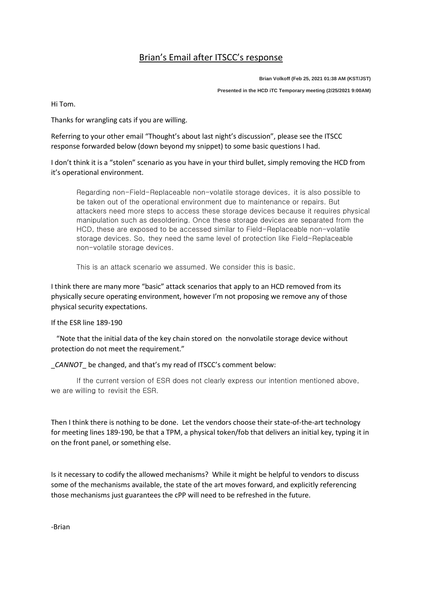## Brian's Email after ITSCC's response

**Brian Volkoff (Feb 25, 2021 01:38 AM (KST/JST) Presented in the HCD iTC Temporary meeting (2/25/2021 9:00AM)**

Hi Tom.

Thanks for wrangling cats if you are willing.

Referring to your other email "Thought's about last night's discussion", please see the ITSCC response forwarded below (down beyond my snippet) to some basic questions I had.

I don't think it is a "stolen" scenario as you have in your third bullet, simply removing the HCD from it's operational environment.

Regarding non-Field-Replaceable non-volatile storage devices, it is also possible to be taken out of the operational environment due to maintenance or repairs. But attackers need more steps to access these storage devices because it requires physical manipulation such as desoldering. Once these storage devices are separated from the HCD, these are exposed to be accessed similar to Field-Replaceable non-volatile storage devices. So, they need the same level of protection like Field-Replaceable non-volatile storage devices.

This is an attack scenario we assumed. We consider this is basic.

I think there are many more "basic" attack scenarios that apply to an HCD removed from its physically secure operating environment, however I'm not proposing we remove any of those physical security expectations.

If the ESR line 189-190

"Note that the initial data of the key chain stored on the nonvolatile storage device without protection do not meet the requirement."

*CANNOT* be changed, and that's my read of ITSCC's comment below:

If the current version of ESR does not clearly express our intention mentioned above, we are willing to revisit the ESR.

Then I think there is nothing to be done. Let the vendors choose their state-of-the-art technology for meeting lines 189-190, be that a TPM, a physical token/fob that delivers an initial key, typing it in on the front panel, or something else.

Is it necessary to codify the allowed mechanisms? While it might be helpful to vendors to discuss some of the mechanisms available, the state of the art moves forward, and explicitly referencing those mechanisms just guarantees the cPP will need to be refreshed in the future.

-Brian